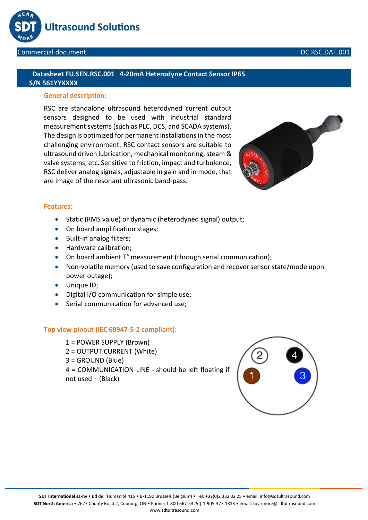

#### **Datasheet FU.SEN.RSC.001 4-20mA Heterodyne Contact Sensor IP65 S/N 561YYXXXX**

## **General description:**

RSC are standalone ultrasound heterodyned current output sensors designed to be used with industrial standard measurement systems (such as PLC, DCS, and SCADA systems). The design is optimized for permanent installations in the most challenging environment. RSC contact sensors are suitable to ultrasound driven lubrication, mechanical monitoring, steam & valve systems, etc. Sensitive to friction, impact and turbulence, RSC deliver analog signals, adjustable in gain and in mode, that are image of the resonant ultrasonic band-pass.



#### **Features:**

- Static (RMS value) or dynamic (heterodyned signal) output;
- On board amplification stages;
- Built-in analog filters;
- Hardware calibration:
- On board ambient T° measurement (through serial communication);
- Non-volatile memory (used to save configuration and recover sensor state/mode upon power outage);
- Unique ID;
- Digital I/O communication for simple use;
- Serial communication for advanced use;

#### **Top view pinout (IEC 60947-5-2 compliant):**

1 = POWER SUPPLY (Brown) 2 = OUTPUT CURRENT (White) 3 = GROUND (Blue) 4 = COMMUNICATION LINE - should be left floating if not used – (Black)

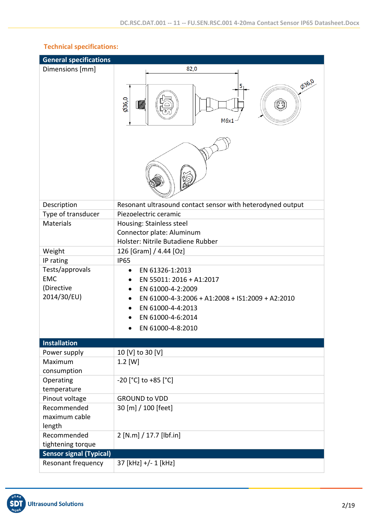| <b>General specifications</b>  |                                                            |  |  |  |  |  |  |  |
|--------------------------------|------------------------------------------------------------|--|--|--|--|--|--|--|
| Dimensions [mm]                | 82,0                                                       |  |  |  |  |  |  |  |
|                                | <b>036,0</b><br>5                                          |  |  |  |  |  |  |  |
|                                |                                                            |  |  |  |  |  |  |  |
|                                | 0.986<br>IM                                                |  |  |  |  |  |  |  |
|                                | M6x1                                                       |  |  |  |  |  |  |  |
|                                |                                                            |  |  |  |  |  |  |  |
|                                |                                                            |  |  |  |  |  |  |  |
| Description                    | Resonant ultrasound contact sensor with heterodyned output |  |  |  |  |  |  |  |
| Type of transducer             | Piezoelectric ceramic                                      |  |  |  |  |  |  |  |
| <b>Materials</b>               | Housing: Stainless steel                                   |  |  |  |  |  |  |  |
|                                | Connector plate: Aluminum                                  |  |  |  |  |  |  |  |
|                                | Holster: Nitrile Butadiene Rubber                          |  |  |  |  |  |  |  |
| Weight                         | 126 [Gram] / 4.44 [Oz]                                     |  |  |  |  |  |  |  |
| IP rating                      | <b>IP65</b>                                                |  |  |  |  |  |  |  |
| Tests/approvals                | EN 61326-1:2013<br>$\bullet$                               |  |  |  |  |  |  |  |
| <b>EMC</b>                     | EN 55011: 2016 + A1:2017                                   |  |  |  |  |  |  |  |
| (Directive                     | EN 61000-4-2:2009                                          |  |  |  |  |  |  |  |
| 2014/30/EU)                    | EN 61000-4-3:2006 + A1:2008 + IS1:2009 + A2:2010           |  |  |  |  |  |  |  |
|                                | EN 61000-4-4:2013                                          |  |  |  |  |  |  |  |
|                                | EN 61000-4-6:2014                                          |  |  |  |  |  |  |  |
|                                | EN 61000-4-8:2010                                          |  |  |  |  |  |  |  |
| <b>Installation</b>            |                                                            |  |  |  |  |  |  |  |
| Power supply                   | 10 [V] to 30 [V]                                           |  |  |  |  |  |  |  |
| Maximum                        | $1.2$ [W]                                                  |  |  |  |  |  |  |  |
| consumption                    |                                                            |  |  |  |  |  |  |  |
| Operating                      | $-20$ [°C] to +85 [°C]                                     |  |  |  |  |  |  |  |
| temperature                    |                                                            |  |  |  |  |  |  |  |
| Pinout voltage                 | <b>GROUND to VDD</b>                                       |  |  |  |  |  |  |  |
| Recommended                    | 30 [m] / 100 [feet]                                        |  |  |  |  |  |  |  |
| maximum cable                  |                                                            |  |  |  |  |  |  |  |
| length                         |                                                            |  |  |  |  |  |  |  |
| Recommended                    | 2 [N.m] / 17.7 [lbf.in]                                    |  |  |  |  |  |  |  |
| tightening torque              |                                                            |  |  |  |  |  |  |  |
| <b>Sensor signal (Typical)</b> |                                                            |  |  |  |  |  |  |  |
| Resonant frequency             | 37 [kHz] +/- 1 [kHz]                                       |  |  |  |  |  |  |  |

# **Technical specifications:**

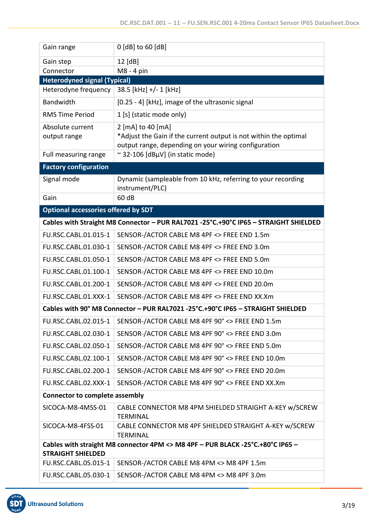| Gain range                                 | $0$ [dB] to 60 [dB]                                                                                                                           |
|--------------------------------------------|-----------------------------------------------------------------------------------------------------------------------------------------------|
| Gain step                                  | 12 [dB]                                                                                                                                       |
| Connector                                  | M8 - 4 pin                                                                                                                                    |
| <b>Heterodyned signal (Typical)</b>        |                                                                                                                                               |
| Heterodyne frequency                       | 38.5 [kHz] +/- 1 [kHz]                                                                                                                        |
| <b>Bandwidth</b>                           | [0.25 - 4] [kHz], image of the ultrasonic signal                                                                                              |
| <b>RMS Time Period</b>                     | 1 [s] (static mode only)                                                                                                                      |
| Absolute current<br>output range           | 2 [mA] to 40 [mA]<br>*Adjust the Gain if the current output is not within the optimal<br>output range, depending on your wiring configuration |
| Full measuring range                       | $\sim$ 32-106 [dBµV] (in static mode)                                                                                                         |
| <b>Factory configuration</b>               |                                                                                                                                               |
| Signal mode                                | Dynamic (sampleable from 10 kHz, referring to your recording<br>instrument/PLC)                                                               |
| Gain                                       | 60 dB                                                                                                                                         |
| <b>Optional accessories offered by SDT</b> |                                                                                                                                               |
|                                            | Cables with Straight M8 Connector - PUR RAL7021 -25°C.+90°C IP65 - STRAIGHT SHIELDED                                                          |
| FU.RSC.CABL.01.015-1                       | SENSOR-/ACTOR CABLE M8 4PF <> FREE END 1.5m                                                                                                   |
| FU.RSC.CABL.01.030-1                       | SENSOR-/ACTOR CABLE M8 4PF <> FREE END 3.0m                                                                                                   |
| FU.RSC.CABL.01.050-1                       | SENSOR-/ACTOR CABLE M8 4PF <> FREE END 5.0m                                                                                                   |
| FU.RSC.CABL.01.100-1                       | SENSOR-/ACTOR CABLE M8 4PF <> FREE END 10.0m                                                                                                  |
| FU.RSC.CABL.01.200-1                       | SENSOR-/ACTOR CABLE M8 4PF <> FREE END 20.0m                                                                                                  |
| FU.RSC.CABL.01.XXX-1                       | SENSOR-/ACTOR CABLE M8 4PF <> FREE END XX.Xm                                                                                                  |
|                                            | Cables with 90° M8 Connector - PUR RAL7021 -25°C.+90°C IP65 - STRAIGHT SHIELDED                                                               |
| FU.RSC.CABL.02.015-1                       | SENSOR-/ACTOR CABLE M8 4PF 90° <> FREE END 1.5m                                                                                               |
| FU.RSC.CABL.02.030-1                       | SENSOR-/ACTOR CABLE M8 4PF 90° <> FREE END 3.0m                                                                                               |
| FU.RSC.CABL.02.050-1                       | SENSOR-/ACTOR CABLE M8 4PF 90° <> FREE END 5.0m                                                                                               |
| FU.RSC.CABL.02.100-1                       | SENSOR-/ACTOR CABLE M8 4PF 90° <> FREE END 10.0m                                                                                              |
| FU.RSC.CABL.02.200-1                       | SENSOR-/ACTOR CABLE M8 4PF 90° <> FREE END 20.0m                                                                                              |
| FU.RSC.CABL.02.XXX-1                       | SENSOR-/ACTOR CABLE M8 4PF 90° <> FREE END XX.Xm                                                                                              |
| <b>Connector to complete assembly</b>      |                                                                                                                                               |
| SICOCA-M8-4MSS-01                          | CABLE CONNECTOR M8 4PM SHIELDED STRAIGHT A-KEY w/SCREW<br><b>TERMINAL</b>                                                                     |
| SICOCA-M8-4FSS-01                          | CABLE CONNECTOR M8 4PF SHIELDED STRAIGHT A-KEY w/SCREW<br><b>TERMINAL</b>                                                                     |
| <b>STRAIGHT SHIELDED</b>                   | Cables with straight M8 connector 4PM <> M8 4PF - PUR BLACK -25°C.+80°C IP65 -                                                                |
| FU.RSC.CABL.05.015-1                       | SENSOR-/ACTOR CABLE M8 4PM <> M8 4PF 1.5m                                                                                                     |
| FU.RSC.CABL.05.030-1                       | SENSOR-/ACTOR CABLE M8 4PM <> M8 4PF 3.0m                                                                                                     |

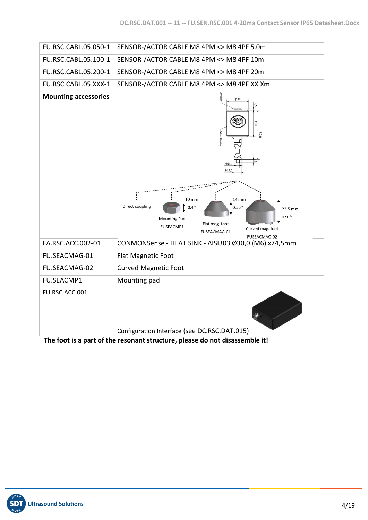

**The foot is a part of the resonant structure, please do not disassemble it!**

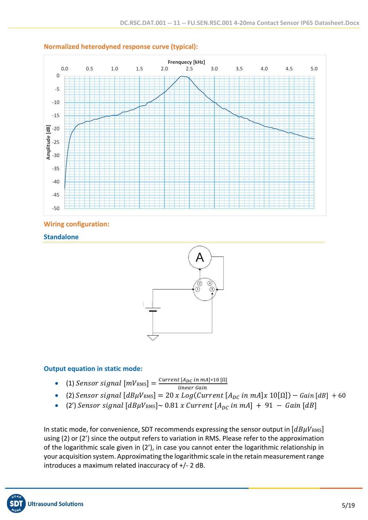

#### **Normalized heterodyned response curve (typical):**

#### **Wiring configuration:**

#### **Standalone**



#### **Output equation in static mode:**

- (1) Sensor signal  $[mV_{RMS}] = \frac{Current [A_{DC} in mA]*10 [Ω]}{linear Gsin}$
- linear Gain • (2)  $Sensor$  signal  $[dB\mu V_{RMS}] = 20$  x  $Log(Current | A_{DC} in mA]x 10[\Omega]) - Gain [dB] + 60$
- (2')  $Sensor$  signal  $[dB\mu V_{RMS}] \sim 0.81$  x Current  $[A_{DC}$  in mA] + 91 Gain  $[dB]$

In static mode, for convenience, SDT recommends expressing the sensor output in  $[dB\mu V_{RMS}]$ using (2) or (2') since the output refers to variation in RMS. Please refer to the approximation of the logarithmic scale given in (2'), in case you cannot enter the logarithmic relationship in your acquisition system. Approximating the logarithmic scale in the retain measurement range introduces a maximum related inaccuracy of +/- 2 dB.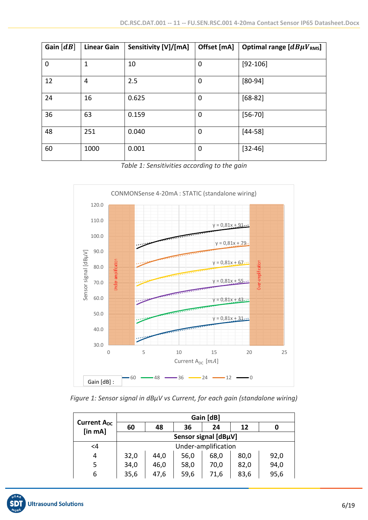| Gain $[dB]$ | <b>Linear Gain</b> | Sensitivity [V]/[mA] | Offset [mA] | Optimal range $[dB\mu V_{RMS}]$ |
|-------------|--------------------|----------------------|-------------|---------------------------------|
| $\mathbf 0$ | 1                  | 10                   | 0           | $[92 - 106]$                    |
| 12          | 4                  | 2.5                  | 0           | $[80-94]$                       |
| 24          | 16                 | 0.625                | 0           | $[68-82]$                       |
| 36          | 63                 | 0.159                | 0           | $[56 - 70]$                     |
| 48          | 251                | 0.040                | 0           | $[44-58]$                       |
| 60          | 1000               | 0.001                | 0           | $[32 - 46]$                     |

*Table 1: Sensitivities according to the gain*



*Figure 1: Sensor signal in dBµV vs Current, for each gain (standalone wiring)*

|                                    | Gain [dB]            |                     |      |      |      |      |  |
|------------------------------------|----------------------|---------------------|------|------|------|------|--|
| Current A <sub>DC</sub><br>[in mA] | 60                   | 48                  | 36   | 24   | 12   | U    |  |
|                                    | Sensor signal [dBµV] |                     |      |      |      |      |  |
| $\leq$ 4                           |                      | Under-amplification |      |      |      |      |  |
| 4                                  | 32,0                 | 44,0                | 56,0 | 68,0 | 80,0 | 92,0 |  |
|                                    | 34,0                 | 46,0                | 58,0 | 70,0 | 82,0 | 94,0 |  |
| 6                                  | 35,6                 | 47,6                | 59,6 | 71,6 | 83,6 | 95,6 |  |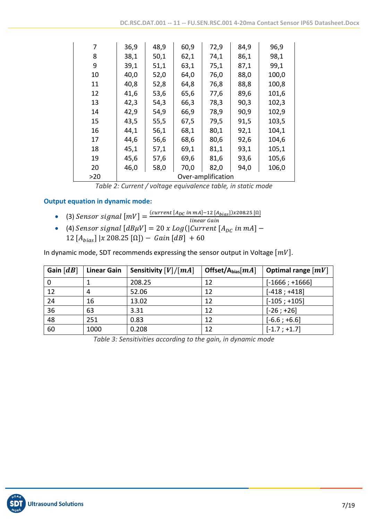| 7   | 36,9 | 48,9 | 60,9 | 72,9               | 84,9 | 96,9  |
|-----|------|------|------|--------------------|------|-------|
| 8   | 38,1 | 50,1 | 62,1 | 74,1               | 86,1 | 98,1  |
| 9   | 39,1 | 51,1 | 63,1 | 75,1               | 87,1 | 99,1  |
| 10  | 40,0 | 52,0 | 64,0 | 76,0               | 88,0 | 100,0 |
| 11  | 40,8 | 52,8 | 64,8 | 76,8               | 88,8 | 100,8 |
| 12  | 41,6 | 53,6 | 65,6 | 77,6               | 89,6 | 101,6 |
| 13  | 42,3 | 54,3 | 66,3 | 78,3               | 90,3 | 102,3 |
| 14  | 42,9 | 54,9 | 66,9 | 78,9               | 90,9 | 102,9 |
| 15  | 43,5 | 55,5 | 67,5 | 79,5               | 91,5 | 103,5 |
| 16  | 44,1 | 56,1 | 68,1 | 80,1               | 92,1 | 104,1 |
| 17  | 44,6 | 56,6 | 68,6 | 80,6               | 92,6 | 104,6 |
| 18  | 45,1 | 57,1 | 69,1 | 81,1               | 93,1 | 105,1 |
| 19  | 45,6 | 57,6 | 69,6 | 81,6               | 93,6 | 105,6 |
| 20  | 46,0 | 58,0 | 70,0 | 82,0               | 94,0 | 106,0 |
| >20 |      |      |      | Over-amplification |      |       |

*Table 2: Current / voltage equivalence table, in static mode*

## **Output equation in dynamic mode:**

- (3)  $Sensor$  signal  $[mV] = \frac{(current [A_{DC} in mA] 12 [A_{bias}])x208.25 [Ω]}{linear Gain}$ linear Gain
- (4)  $Sensor$  signal  $[dB\mu V] = 20$  x  $Log(|Current|A_{DC} in mA]$  12  $[A_{bias}]$  | x 208.25  $[Ω]$ ) – *Gain*  $[dB]$  + 60

In dynamic mode, SDT recommends expressing the sensor output in Voltage  $[mV]$ .

| Gain $\lfloor dB \rfloor$ | <b>Linear Gain</b> | Sensitivity $[V]/[mA]$ | Offset/A <sub>bias</sub> $[mA]$ | Optimal range $\lfloor mV \rfloor$ |
|---------------------------|--------------------|------------------------|---------------------------------|------------------------------------|
|                           |                    | 208.25                 | 12                              | $[-1666; +1666]$                   |
| 12                        | 4                  | 52.06                  | 12                              | $[-418; +418]$                     |
| 24                        | 16                 | 13.02                  | 12                              | $[-105; +105]$                     |
| 36                        | 63                 | 3.31                   | 12                              | $[-26; +26]$                       |
| 48                        | 251                | 0.83                   | 12                              | $[-6.6; +6.6]$                     |
| 60                        | 1000               | 0.208                  | 12                              | $[-1.7; +1.7]$                     |

*Table 3: Sensitivities according to the gain, in dynamic mode*

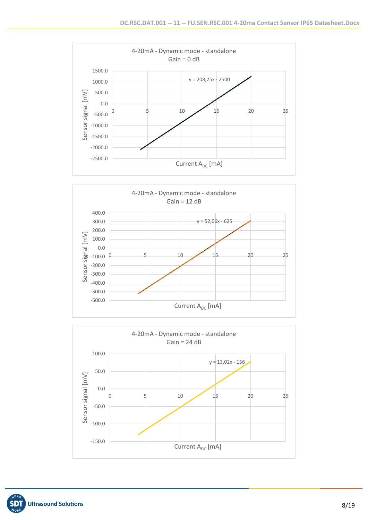





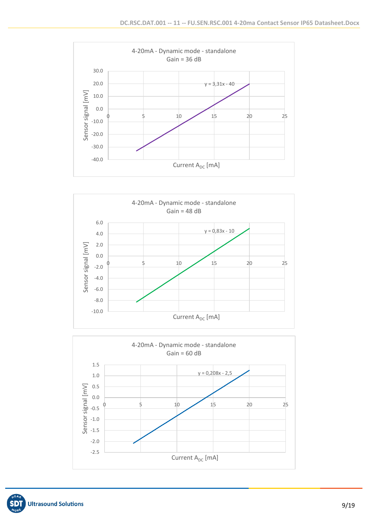





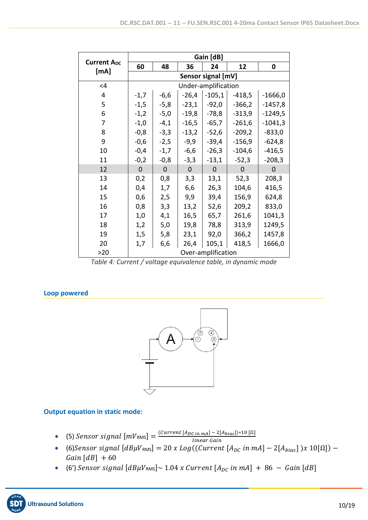|                            | Gain [dB]      |              |             |                     |          |           |
|----------------------------|----------------|--------------|-------------|---------------------|----------|-----------|
| <b>Current Apc</b><br>[mA] | 60             | 48           | 36          | 24                  | 12       | 0         |
|                            |                |              |             | Sensor signal [mV]  |          |           |
| <4                         |                |              |             | Under-amplification |          |           |
| 4                          | $-1,7$         | $-6,6$       | $-26,4$     | $-105,1$            | $-418,5$ | $-1666,0$ |
| 5                          | $-1,5$         | $-5,8$       | $-23,1$     | $-92,0$             | $-366,2$ | $-1457,8$ |
| 6                          | $-1,2$         | $-5,0$       | $-19,8$     | $-78,8$             | $-313,9$ | $-1249,5$ |
| 7                          | $-1,0$         | $-4,1$       | $-16,5$     | $-65,7$             | $-261,6$ | $-1041,3$ |
| 8                          | $-0,8$         | $-3,3$       | $-13,2$     | $-52,6$             | $-209,2$ | $-833,0$  |
| 9                          | $-0,6$         | $-2,5$       | $-9,9$      | $-39,4$             | $-156,9$ | $-624,8$  |
| 10                         | $-0,4$         | $-1,7$       | $-6,6$      | $-26,3$             | $-104,6$ | $-416,5$  |
| 11                         | $-0,2$         | $-0,8$       | $-3,3$      | $-13,1$             | $-52,3$  | $-208,3$  |
| 12                         | $\overline{0}$ | $\mathbf{0}$ | $\mathbf 0$ | 0                   | 0        | 0         |
| 13                         | 0,2            | 0,8          | 3,3         | 13,1                | 52,3     | 208,3     |
| 14                         | 0,4            | 1,7          | 6,6         | 26,3                | 104,6    | 416,5     |
| 15                         | 0,6            | 2,5          | 9,9         | 39,4                | 156,9    | 624,8     |
| 16                         | 0,8            | 3,3          | 13,2        | 52,6                | 209,2    | 833,0     |
| 17                         | 1,0            | 4,1          | 16,5        | 65,7                | 261,6    | 1041,3    |
| 18                         | 1,2            | 5,0          | 19,8        | 78,8                | 313,9    | 1249,5    |
| 19                         | 1,5            | 5,8          | 23,1        | 92,0                | 366,2    | 1457,8    |
| 20                         | 1,7            | 6,6          | 26,4        | 105,1               | 418,5    | 1666,0    |
| $>20$                      |                |              |             | Over-amplification  |          |           |

*Table 4: Current / voltage equivalence table, in dynamic mode*

#### **Loop powered**



# **Output equation in static mode:**

- (5)  $Sensor$  signal  $[mV_{RMS}] = \frac{(Current [A_{DC} in mA] 2[A_{bias}]) * 10 [0]}{linear G}$ linear Gain
- (6) Sensor signal  $[dB\mu V_{RMS}] = 20$  x  $Log((Current [A<sub>DC</sub> in mA] 2[A<sub>bias</sub>])$  x  $10[\Omega]) Gain [dB] + 60$
- (6')  $Sensor$  signal  $[dB\mu V_{RMS}] \sim 1.04$  x Current  $[A_{DC}$  in mA] + 86 Gain  $[dB]$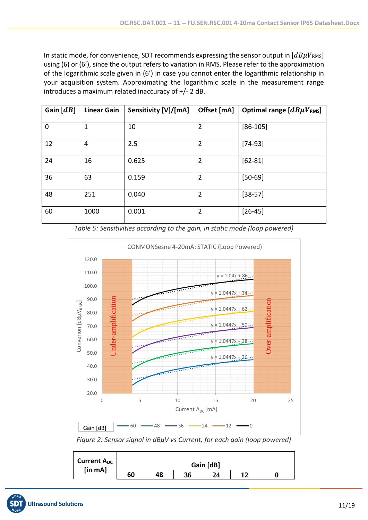In static mode, for convenience, SDT recommends expressing the sensor output in  $[dB\mu V_{\rm RMS}]$ using (6) or (6'), since the output refers to variation in RMS. Please refer to the approximation of the logarithmic scale given in (6') in case you cannot enter the logarithmic relationship in your acquisition system. Approximating the logarithmic scale in the measurement range introduces a maximum related inaccuracy of +/- 2 dB.

| Gain $\lfloor dB \rfloor$ | <b>Linear Gain</b> | Sensitivity [V]/[mA] | Offset [mA]    | Optimal range $[dB\mu V_{RMS}]$ |
|---------------------------|--------------------|----------------------|----------------|---------------------------------|
| $\mathbf 0$               | 1                  | 10                   | $\overline{2}$ | $[86-105]$                      |
| 12                        | 4                  | 2.5                  | $\overline{2}$ | $[74-93]$                       |
| 24                        | 16                 | 0.625                | $\overline{2}$ | $[62 - 81]$                     |
| 36                        | 63                 | 0.159                | $\overline{2}$ | $[50-69]$                       |
| 48                        | 251                | 0.040                | 2              | $[38 - 57]$                     |
| 60                        | 1000               | 0.001                | $\overline{2}$ | $[26-45]$                       |

*Table 5: Sensitivities according to the gain, in static mode (loop powered)*



*Figure 2: Sensor signal in dBµV vs Current, for each gain (loop powered)* :

| <b>Current Apc</b><br>$[$ in mA $]$ | Gain [dB] |    |    |    |  |  |  |
|-------------------------------------|-----------|----|----|----|--|--|--|
|                                     | 60        | 48 | 36 | 24 |  |  |  |

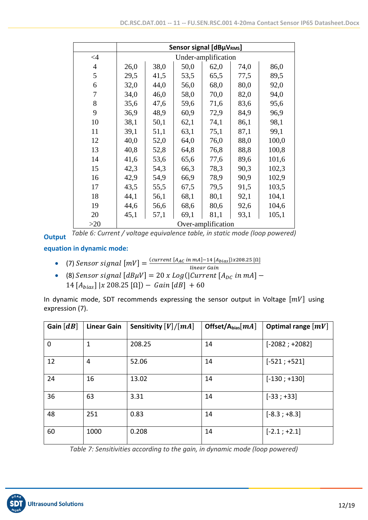|                | Sensor signal [dBµVRMS] |      |      |                    |      |       |  |
|----------------|-------------------------|------|------|--------------------|------|-------|--|
| $\leq$ 4       | Under-amplification     |      |      |                    |      |       |  |
| $\overline{4}$ | 26,0                    | 38,0 | 50,0 | 62,0               | 74,0 | 86,0  |  |
| 5              | 29,5                    | 41,5 | 53,5 | 65,5               | 77,5 | 89,5  |  |
| 6              | 32,0                    | 44,0 | 56,0 | 68,0               | 80,0 | 92,0  |  |
| 7              | 34,0                    | 46,0 | 58,0 | 70,0               | 82,0 | 94,0  |  |
| 8              | 35,6                    | 47,6 | 59,6 | 71,6               | 83,6 | 95,6  |  |
| 9              | 36,9                    | 48,9 | 60,9 | 72,9               | 84,9 | 96,9  |  |
| 10             | 38,1                    | 50,1 | 62,1 | 74,1               | 86,1 | 98,1  |  |
| 11             | 39,1                    | 51,1 | 63,1 | 75,1               | 87,1 | 99,1  |  |
| 12             | 40,0                    | 52,0 | 64,0 | 76,0               | 88,0 | 100,0 |  |
| 13             | 40,8                    | 52,8 | 64,8 | 76,8               | 88,8 | 100,8 |  |
| 14             | 41,6                    | 53,6 | 65,6 | 77,6               | 89,6 | 101,6 |  |
| 15             | 42,3                    | 54,3 | 66,3 | 78,3               | 90,3 | 102,3 |  |
| 16             | 42,9                    | 54,9 | 66,9 | 78,9               | 90,9 | 102,9 |  |
| 17             | 43,5                    | 55,5 | 67,5 | 79,5               | 91,5 | 103,5 |  |
| 18             | 44,1                    | 56,1 | 68,1 | 80,1               | 92,1 | 104,1 |  |
| 19             | 44,6                    | 56,6 | 68,6 | 80,6               | 92,6 | 104,6 |  |
| 20             | 45,1                    | 57,1 | 69,1 | 81,1               | 93,1 | 105,1 |  |
| $>20$          |                         |      |      | Over-amplification |      |       |  |

**Output equation in dynamic mode:** *Table 6: Current / voltage equivalence table, in static mode (loop powered)*

- (7)  $Sensor$  signal  $[mV] = \frac{(current [A_{AC} in mA] 14 [A_{bias}])x208.25 [Ω]}{linear Gain}$
- linear Gain • (8) Sensor signal  $[dB\mu V] = 20$  x Log(|Current  $[A_{DC}$  in mA] – 14  $[A_{bias}]$  |x 208.25 [Ω]) – *Gain* [dB] + 60

In dynamic mode, SDT recommends expressing the sensor output in Voltage  $[mV]$  using expression (7).

| Gain $\lfloor dB \rfloor$ | <b>Linear Gain</b> | Sensitivity $[V]/[mA]$ | Offset/A <sub>bias</sub> $[mA]$ | Optimal range $\lfloor mV \rfloor$ |
|---------------------------|--------------------|------------------------|---------------------------------|------------------------------------|
| $\mathbf 0$               | 1                  | 208.25                 | 14                              | $[-2082; +2082]$                   |
| 12                        | 4                  | 52.06                  | 14                              | $[-521; +521]$                     |
| 24                        | 16                 | 13.02                  | 14                              | $[-130; +130]$                     |
| 36                        | 63                 | 3.31                   | 14                              | $[-33; +33]$                       |
| 48                        | 251                | 0.83                   | 14                              | $[-8.3; +8.3]$                     |
| 60                        | 1000               | 0.208                  | 14                              | $[-2.1; +2.1]$                     |

*Table 7: Sensitivities according to the gain, in dynamic mode (loop powered)*

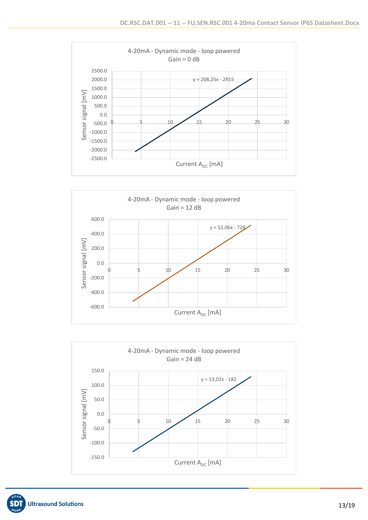





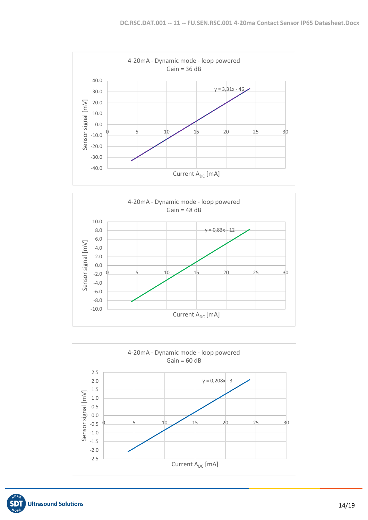





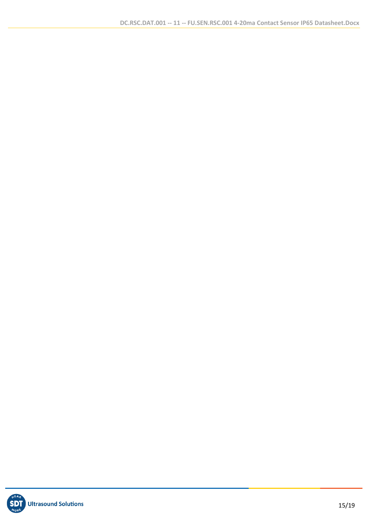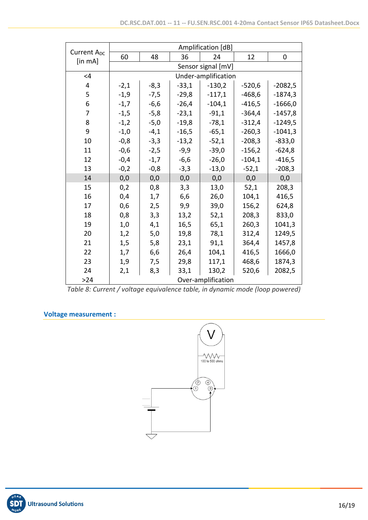|                                          |        |        |         | Amplification [dB]  |          |           |
|------------------------------------------|--------|--------|---------|---------------------|----------|-----------|
| Current A <sub>DC</sub><br>$[$ in mA $]$ | 60     | 48     | 36      | 24                  | 12       | 0         |
|                                          |        |        |         | Sensor signal [mV]  |          |           |
| $\leq 4$                                 |        |        |         | Under-amplification |          |           |
| 4                                        | $-2,1$ | $-8,3$ | $-33,1$ | $-130,2$            | $-520,6$ | $-2082,5$ |
| 5                                        | $-1,9$ | $-7,5$ | $-29,8$ | $-117,1$            | $-468,6$ | $-1874,3$ |
| 6                                        | $-1,7$ | $-6,6$ | $-26,4$ | $-104,1$            | $-416,5$ | $-1666,0$ |
| 7                                        | $-1,5$ | $-5,8$ | $-23,1$ | $-91,1$             | $-364,4$ | $-1457,8$ |
| 8                                        | $-1,2$ | $-5,0$ | $-19,8$ | $-78,1$             | $-312,4$ | $-1249,5$ |
| 9                                        | $-1,0$ | $-4,1$ | $-16,5$ | $-65,1$             | $-260,3$ | $-1041,3$ |
| 10                                       | $-0,8$ | $-3,3$ | $-13,2$ | $-52,1$             | $-208,3$ | $-833,0$  |
| 11                                       | $-0,6$ | $-2,5$ | $-9,9$  | $-39,0$             | $-156,2$ | $-624,8$  |
| 12                                       | $-0,4$ | $-1,7$ | $-6,6$  | $-26,0$             | $-104,1$ | $-416,5$  |
| 13                                       | $-0,2$ | $-0,8$ | $-3,3$  | $-13,0$             | $-52,1$  | $-208,3$  |
| 14                                       | 0,0    | 0,0    | 0,0     | 0,0                 | 0,0      | 0,0       |
| 15                                       | 0,2    | 0,8    | 3,3     | 13,0                | 52,1     | 208,3     |
| 16                                       | 0,4    | 1,7    | 6,6     | 26,0                | 104,1    | 416,5     |
| 17                                       | 0,6    | 2,5    | 9,9     | 39,0                | 156,2    | 624,8     |
| 18                                       | 0,8    | 3,3    | 13,2    | 52,1                | 208,3    | 833,0     |
| 19                                       | 1,0    | 4,1    | 16,5    | 65,1                | 260,3    | 1041,3    |
| 20                                       | 1,2    | 5,0    | 19,8    | 78,1                | 312,4    | 1249,5    |
| 21                                       | 1,5    | 5,8    | 23,1    | 91,1                | 364,4    | 1457,8    |
| 22                                       | 1,7    | 6,6    | 26,4    | 104,1               | 416,5    | 1666,0    |
| 23                                       | 1,9    | 7,5    | 29,8    | 117,1               | 468,6    | 1874,3    |
| 24                                       | 2,1    | 8,3    | 33,1    | 130,2               | 520,6    | 2082,5    |
| >24                                      |        |        |         | Over-amplification  |          |           |

*Table 8: Current / voltage equivalence table, in dynamic mode (loop powered)*

#### **Voltage measurement :**



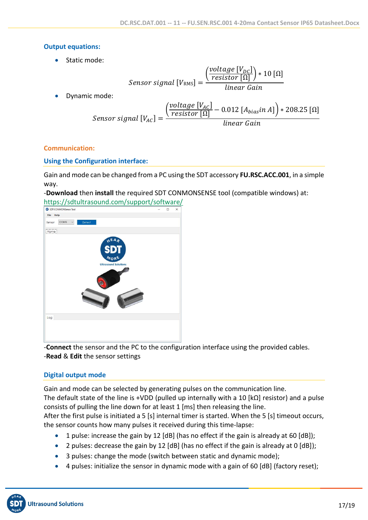## **Output equations:**

• Static mode:

$$
Sensor\ signal\ [V_{RMS}] = \frac{\left(\frac{voltage\ [V_{DC}]}{resistor\ [ \Omega]}\right)*10\ [ \Omega]}{linear\ Gain}
$$

• Dynamic mode:

$$
Sensor\ signal\ [V_{AC}] = \frac{\left(\frac{voltage\ [V_{AC}]}{resistor\ [\Omega]} - 0.012\ [A_{bias} in\ A]\right) * 208.25\ [\Omega]}{linear\ Gain}
$$

# **Communication:**

# **Using the Configuration interface:**

Gain and mode can be changed from a PC using the SDT accessory **FU.RSC.ACC.001**, in a simple way.

-**Download** then **install** the required SDT CONMONSENSE tool (compatible windows) at:



-**Connect** the sensor and the PC to the configuration interface using the provided cables. -**Read** & **Edit** the sensor settings

# **Digital output mode**

Gain and mode can be selected by generating pulses on the communication line. The default state of the line is +VDD (pulled up internally with a 10 [kΩ] resistor) and a pulse consists of pulling the line down for at least 1 [ms] then releasing the line.

After the first pulse is initiated a 5 [s] internal timer is started. When the 5 [s] timeout occurs, the sensor counts how many pulses it received during this time-lapse:

- 1 pulse: increase the gain by 12 [dB] (has no effect if the gain is already at 60 [dB]);
- 2 pulses: decrease the gain by 12 [dB] (has no effect if the gain is already at 0 [dB]);
- 3 pulses: change the mode (switch between static and dynamic mode);
- 4 pulses: initialize the sensor in dynamic mode with a gain of 60 [dB] (factory reset);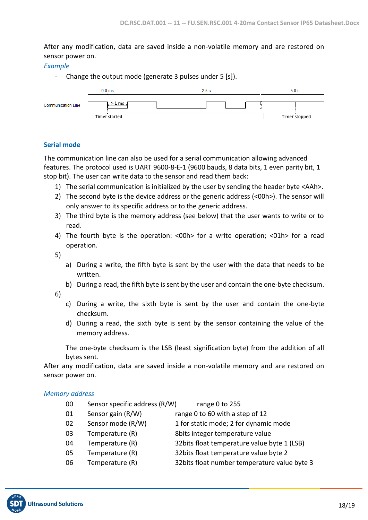After any modification, data are saved inside a non-volatile memory and are restored on sensor power on.

## *Example*

Change the output mode (generate 3 pulses under 5 [s]).



#### **Serial mode**

The communication line can also be used for a serial communication allowing advanced features. The protocol used is UART 9600-8-E-1 (9600 bauds, 8 data bits, 1 even parity bit, 1 stop bit). The user can write data to the sensor and read them back:

- 1) The serial communication is initialized by the user by sending the header byte <AAh>.
- 2) The second byte is the device address or the generic address (<00h>). The sensor will only answer to its specific address or to the generic address.
- 3) The third byte is the memory address (see below) that the user wants to write or to read.
- 4) The fourth byte is the operation: <00h> for a write operation; <01h> for a read operation.
- 5)
- a) During a write, the fifth byte is sent by the user with the data that needs to be written.
- b) During a read, the fifth byte is sent by the user and contain the one-byte checksum.
- 6)
- c) During a write, the sixth byte is sent by the user and contain the one-byte checksum.
- d) During a read, the sixth byte is sent by the sensor containing the value of the memory address.

The one-byte checksum is the LSB (least signification byte) from the addition of all bytes sent.

After any modification, data are saved inside a non-volatile memory and are restored on sensor power on.

#### *Memory address*

- 00 Sensor specific address (R/W) range 0 to 255
- 01 Sensor gain (R/W) range 0 to 60 with a step of 12

- 02 Sensor mode (R/W) 1 for static mode; 2 for dynamic mode
- 03 Temperature (R) 8bits integer temperature value
- 04 Temperature (R) 32bits float temperature value byte 1 (LSB)
- 
- 05 Temperature (R) 32bits float temperature value byte 2
- 06 Temperature (R) 32bits float number temperature value byte 3